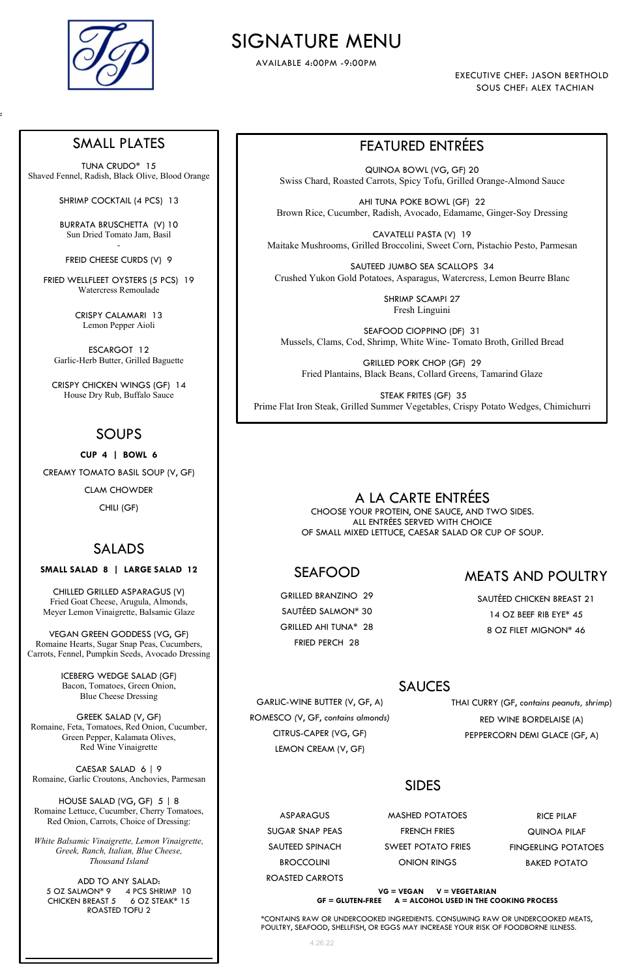# SIGNATURE MENU

AVAILABLE 4:00PM -9:00PM

EXECUTIVE CHEF: JASON BERTHOLD SOUS CHEF: ALEX TACHIAN



:

4.26.22

# FEATURED ENTRÉES

QUINOA BOWL (VG, GF) 20 Swiss Chard, Roasted Carrots, Spicy Tofu, Grilled Orange-Almond Sauce

AHI TUNA POKE BOWL (GF) 22 Brown Rice, Cucumber, Radish, Avocado, Edamame, Ginger-Soy Dressing

CAVATELLI PASTA (V) 19 Maitake Mushrooms, Grilled Broccolini, Sweet Corn, Pistachio Pesto, Parmesan

SAUTEED JUMBO SEA SCALLOPS 34 Crushed Yukon Gold Potatoes, Asparagus, Watercress, Lemon Beurre Blanc

> SHRIMP SCAMPI 27 Fresh Linguini

SEAFOOD CIOPPINO (DF) 31 Mussels, Clams, Cod, Shrimp, White Wine- Tomato Broth, Grilled Bread

GRILLED PORK CHOP (GF) 29 Fried Plantains, Black Beans, Collard Greens, Tamarind Glaze

 STEAK FRITES (GF) 35 Prime Flat Iron Steak, Grilled Summer Vegetables, Crispy Potato Wedges, Chimichurri

### SMALL PLATES

TUNA CRUDO\* 15 Shaved Fennel, Radish, Black Olive, Blood Orange

SHRIMP COCKTAIL (4 PCS) 13

BURRATA BRUSCHETTA (V) 10 Sun Dried Tomato Jam, Basil -

FREID CHEESE CURDS (V) 9

FRIED WELLFLEET OYSTERS (5 PCS) 19 Watercress Remoulade

> CRISPY CALAMARI 13 Lemon Pepper Aioli

ESCARGOT 12 Garlic-Herb Butter, Grilled Baguette

CRISPY CHICKEN WINGS (GF) 14 House Dry Rub, Buffalo Sauce

### SOUPS

CUP 4 | BOWL 6

CREAMY TOMATO BASIL SOUP (V, GF)

CLAM CHOWDER

CHILI (GF)

# SALADS

### SMALL SALAD 8 | LARGE SALAD 12

CHILLED GRILLED ASPARAGUS (V) Fried Goat Cheese, Arugula, Almonds, Meyer Lemon Vinaigrette, Balsamic Glaze

VEGAN GREEN GODDESS (VG, GF) Romaine Hearts, Sugar Snap Peas, Cucumbers, Carrots, Fennel, Pumpkin Seeds, Avocado Dressing

> ICEBERG WEDGE SALAD (GF) Bacon, Tomatoes, Green Onion, Blue Cheese Dressing

GREEK SALAD (V, GF) Romaine, Feta, Tomatoes, Red Onion, Cucumber, Green Pepper, Kalamata Olives, Red Wine Vinaigrette

CAESAR SALAD 6 | 9 Romaine, Garlic Croutons, Anchovies, Parmesan

HOUSE SALAD (VG, GF) 5 | 8 Romaine Lettuce, Cucumber, Cherry Tomatoes, Red Onion, Carrots, Choice of Dressing:

White Balsamic Vinaigrette, Lemon Vinaigrette, Greek, Ranch, Italian, Blue Cheese, Thousand Island

ADD TO ANY SALAD: 5 OZ SALMON\* 9 4 PCS SHRIMP 10 CHICKEN BREAST 5 6 OZ STEAK\* 15 ROASTED TOFU 2

# A LA CARTE ENTRÉES

CHOOSE YOUR PROTEIN, ONE SAUCE, AND TWO SIDES. ALL ENTRÉES SERVED WITH CHOICE OF SMALL MIXED LETTUCE, CAESAR SALAD OR CUP OF SOUP.

# SEAFOOD

GRILLED BRANZINO 29 SAUTÉED SALMON\* 30 GRILLED AHI TUNA\* 28 FRIED PERCH 28

GARLIC-WINE BUTTER (V, GF, A) ROMESCO (V, GF, contains almonds) CITRUS-CAPER (VG, GF)

LEMON CREAM (V, GF)

\*CONTAINS RAW OR UNDERCOOKED INGREDIENTS. CONSUMING RAW OR UNDERCOOKED MEATS, POULTRY, SEAFOOD, SHELLFISH, OR EGGS MAY INCREASE YOUR RISK OF FOODBORNE ILLNESS.

| ASPARAGUS         | <b>MASHED POTATOES</b>    | RICE PILAF          |
|-------------------|---------------------------|---------------------|
| SUGAR SNAP PEAS   | <b>FRENCH FRIES</b>       | QUINOA PILAF        |
| SAUTEED SPINACH   | <b>SWEET POTATO FRIES</b> | FINGERLING POTATOES |
| <b>BROCCOLINI</b> | <b>ONION RINGS</b>        | <b>BAKED POTATO</b> |
| ROASTED CARROTS   |                           |                     |

#### $GF = GLUTEN-FREE$   $A = ALCOHOL$  USED IN THE COOKING PROCESS  $VG = VEGAN$   $V = VEGETARIAN$

THAI CURRY (GF, contains peanuts, shrimp)

RED WINE BORDELAISE (A)

PEPPERCORN DEMI GLACE (GF, A)

### SAUCES

## MEATS AND POULTRY

SAUTÉED CHICKEN BREAST 21 14 OZ BEEF RIB EYE\* 45 8 OZ FILET MIGNON\* 46

SIDES